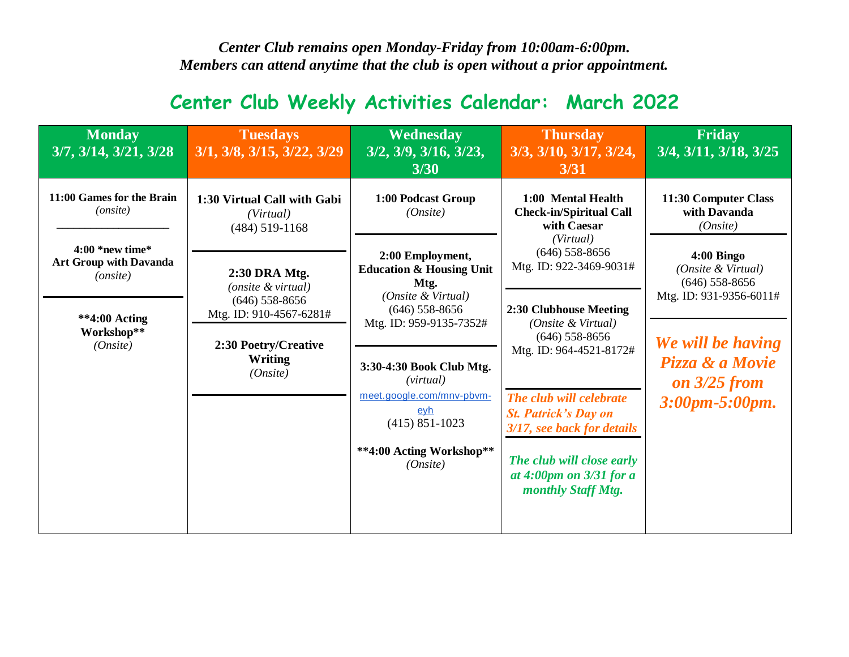*Center Club remains open Monday-Friday from 10:00am-6:00pm. Members can attend anytime that the club is open without a prior appointment.*

## **Center Club Weekly Activities Calendar: March 2022**

| <b>Monday</b><br>3/7, 3/14, 3/21, 3/28                                                                      | <b>Tuesdays</b><br>3/1, 3/8, 3/15, 3/22, 3/29                                                                                      | Wednesday<br>3/2, 3/9, 3/16, 3/23,<br>3/30                                                                                                                                                                                                                                                 | <b>Thursday</b><br>3/3, 3/10, 3/17, 3/24,<br>3/31                                                                                                                                                                                                                                                                                  | <b>Friday</b><br>$3/4$ , $3/11$ , $3/18$ , $3/25$                                                                                                             |
|-------------------------------------------------------------------------------------------------------------|------------------------------------------------------------------------------------------------------------------------------------|--------------------------------------------------------------------------------------------------------------------------------------------------------------------------------------------------------------------------------------------------------------------------------------------|------------------------------------------------------------------------------------------------------------------------------------------------------------------------------------------------------------------------------------------------------------------------------------------------------------------------------------|---------------------------------------------------------------------------------------------------------------------------------------------------------------|
| 11:00 Games for the Brain<br>( <i>onsite</i> )                                                              | 1:30 Virtual Call with Gabi<br>(Virtual)<br>$(484)$ 519-1168                                                                       | 1:00 Podcast Group<br>(On site)                                                                                                                                                                                                                                                            | 1:00 Mental Health<br><b>Check-in/Spiritual Call</b><br>with Caesar                                                                                                                                                                                                                                                                | 11:30 Computer Class<br>with Davanda<br>(On site)                                                                                                             |
| $4:00*$ new time*<br><b>Art Group with Davanda</b><br>(onsite)<br>$*4:00$ Acting<br>Workshop**<br>(On site) | 2:30 DRA Mtg.<br>(onsite & virtual)<br>$(646)$ 558-8656<br>Mtg. ID: 910-4567-6281#<br>2:30 Poetry/Creative<br>Writing<br>(On site) | 2:00 Employment,<br><b>Education &amp; Housing Unit</b><br>Mtg.<br>(Onsite & Virtual)<br>$(646)$ 558-8656<br>Mtg. ID: 959-9135-7352#<br>3:30-4:30 Book Club Mtg.<br>( <i>virtual</i> )<br>meet.google.com/mnv-pbvm-<br>eyh<br>$(415) 851 - 1023$<br>** 4:00 Acting Workshop**<br>(On site) | (Virtual)<br>$(646)$ 558-8656<br>Mtg. ID: 922-3469-9031#<br>2:30 Clubhouse Meeting<br>(Onsite & Virtual)<br>$(646)$ 558-8656<br>Mtg. ID: 964-4521-8172#<br>The club will celebrate<br><b>St. Patrick's Day on</b><br>3/17, see back for details<br>The club will close early<br>at $4:00$ pm on $3/31$ for a<br>monthly Staff Mtg. | $4:00$ Bingo<br>(Onsite & Virtual)<br>$(646)$ 558-8656<br>Mtg. ID: 931-9356-6011#<br>We will be having<br>Pizza & a Movie<br>on $3/25$ from<br>3:00pm-5:00pm. |